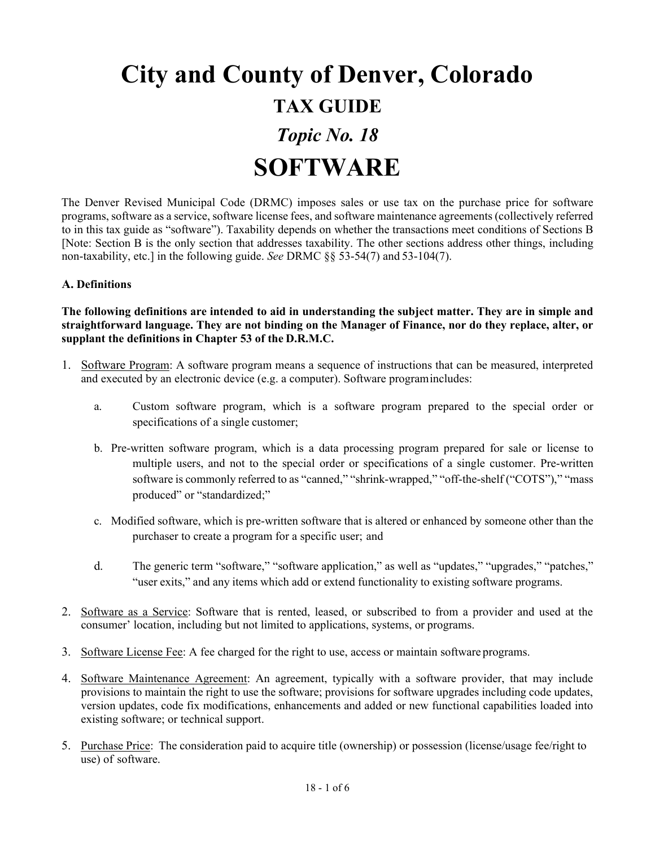# **City and County of Denver, Colorado TAX GUIDE** *Topic No. 18*  **SOFTWARE**

The Denver Revised Municipal Code (DRMC) imposes sales or use tax on the purchase price for software programs, software as a service, software license fees, and software maintenance agreements(collectively referred to in this tax guide as "software"). Taxability depends on whether the transactions meet conditions of Sections B [Note: Section B is the only section that addresses taxability. The other sections address other things, including non-taxability, etc.] in the following guide. *See* DRMC §§ 53-54(7) and 53-104(7).

#### **A. Definitions**

**The following definitions are intended to aid in understanding the subject matter. They are in simple and straightforward language. They are not binding on the Manager of Finance, nor do they replace, alter, or supplant the definitions in Chapter 53 of the D.R.M.C.**

- 1. Software Program: A software program means a sequence of instructions that can be measured, interpreted and executed by an electronic device (e.g. a computer). Software programincludes:
	- a. Custom software program, which is a software program prepared to the special order or specifications of a single customer;
	- b. Pre-written software program, which is a data processing program prepared for sale or license to multiple users, and not to the special order or specifications of a single customer. Pre-written software is commonly referred to as "canned," "shrink-wrapped," "off-the-shelf ("COTS")," "mass produced" or "standardized;"
	- c. Modified software, which is pre-written software that is altered or enhanced by someone other than the purchaser to create a program for a specific user; and
	- d. The generic term "software," "software application," as well as "updates," "upgrades," "patches," "user exits," and any items which add or extend functionality to existing software programs.
- 2. Software as a Service: Software that is rented, leased, or subscribed to from a provider and used at the consumer' location, including but not limited to applications, systems, or programs.
- 3. Software License Fee: A fee charged for the right to use, access or maintain software programs.
- 4. Software Maintenance Agreement: An agreement, typically with a software provider, that may include provisions to maintain the right to use the software; provisions for software upgrades including code updates, version updates, code fix modifications, enhancements and added or new functional capabilities loaded into existing software; or technical support.
- 5. Purchase Price: The consideration paid to acquire title (ownership) or possession (license/usage fee/right to use) of software.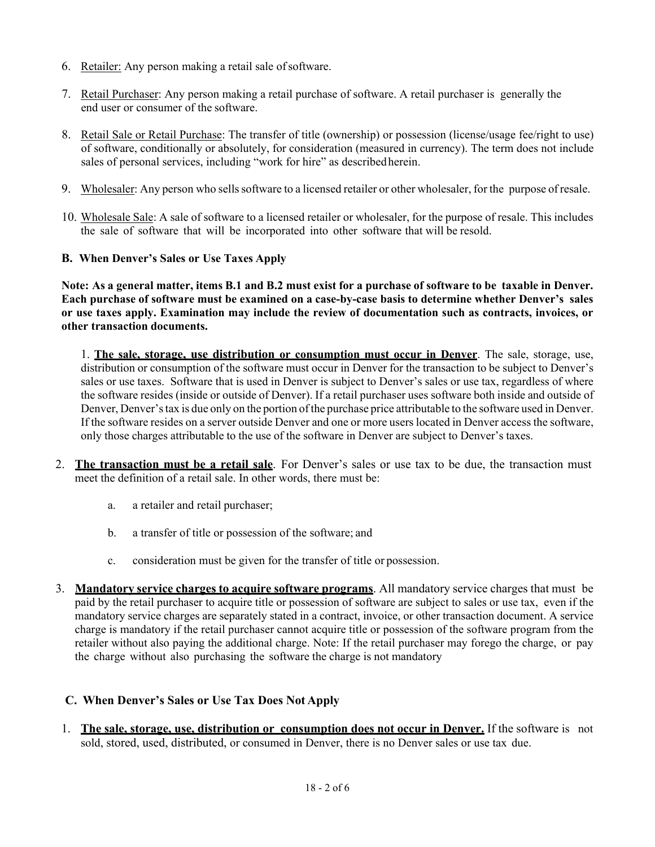- 6. Retailer: Any person making a retail sale ofsoftware.
- 7. Retail Purchaser: Any person making a retail purchase of software. A retail purchaser is generally the end user or consumer of the software.
- 8. Retail Sale or Retail Purchase: The transfer of title (ownership) or possession (license/usage fee/right to use) of software, conditionally or absolutely, for consideration (measured in currency). The term does not include sales of personal services, including "work for hire" as describedherein.
- 9. Wholesaler: Any person who sellssoftware to a licensed retailer or other wholesaler, for the purpose of resale.
- 10. Wholesale Sale: A sale of software to a licensed retailer or wholesaler, for the purpose of resale. This includes the sale of software that will be incorporated into other software that will be resold.
- **B. When Denver's Sales or Use Taxes Apply**

**Note: As a general matter, items B.1 and B.2 must exist for a purchase of software to be taxable in Denver. Each purchase of software must be examined on a case-by-case basis to determine whether Denver's sales or use taxes apply. Examination may include the review of documentation such as contracts, invoices, or other transaction documents.**

1. **The sale, storage, use distribution or consumption must occur in Denver**. The sale, storage, use, distribution or consumption of the software must occur in Denver for the transaction to be subject to Denver's sales or use taxes. Software that is used in Denver is subject to Denver's sales or use tax, regardless of where the software resides (inside or outside of Denver). If a retail purchaser uses software both inside and outside of Denver, Denver's tax is due only on the portion of the purchase price attributable to the software used in Denver. If the software resides on a server outside Denver and one or more users located in Denver access the software, only those charges attributable to the use of the software in Denver are subject to Denver's taxes.

- 2. **The transaction must be a retail sale**. For Denver's sales or use tax to be due, the transaction must meet the definition of a retail sale. In other words, there must be:
	- a. a retailer and retail purchaser;
	- b. a transfer of title or possession of the software; and
	- c. consideration must be given for the transfer of title or possession.
- 3. **Mandatory service charges to acquire software programs**. All mandatory service charges that must be paid by the retail purchaser to acquire title or possession of software are subject to sales or use tax, even if the mandatory service charges are separately stated in a contract, invoice, or other transaction document. A service charge is mandatory if the retail purchaser cannot acquire title or possession of the software program from the retailer without also paying the additional charge. Note: If the retail purchaser may forego the charge, or pay the charge without also purchasing the software the charge is not mandatory

### **C. When Denver's Sales or Use Tax Does Not Apply**

1. **The sale, storage, use, distribution or consumption does not occur in Denver.** If the software is not sold, stored, used, distributed, or consumed in Denver, there is no Denver sales or use tax due.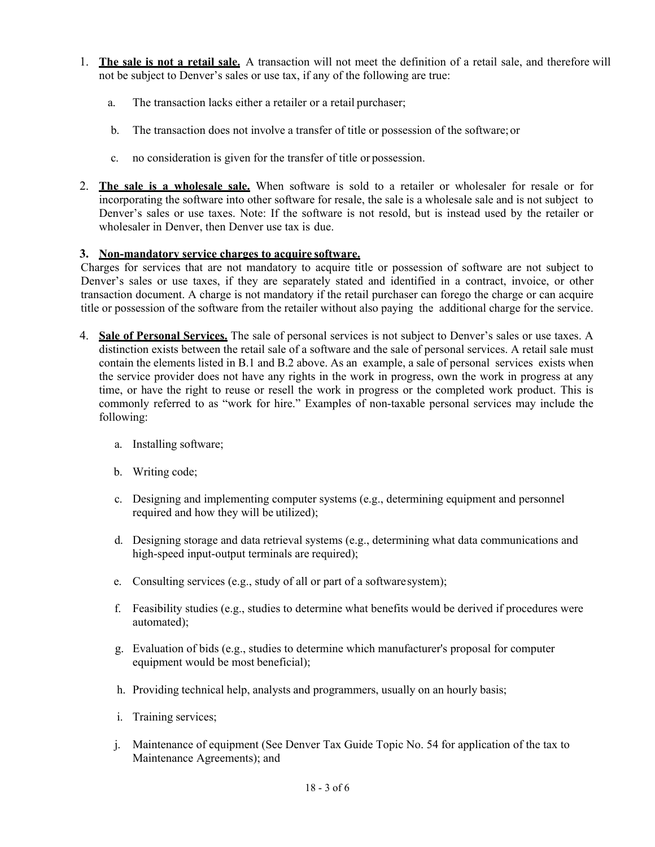- 1. **The sale is not a retail sale.** A transaction will not meet the definition of a retail sale, and therefore will not be subject to Denver's sales or use tax, if any of the following are true:
	- a. The transaction lacks either a retailer or a retail purchaser;
	- b. The transaction does not involve a transfer of title or possession of the software;or
	- c. no consideration is given for the transfer of title or possession.
- 2. **The sale is a wholesale sale.** When software is sold to a retailer or wholesaler for resale or for incorporating the software into other software for resale, the sale is a wholesale sale and is not subject to Denver's sales or use taxes. Note: If the software is not resold, but is instead used by the retailer or wholesaler in Denver, then Denver use tax is due.

### **3. Non-mandatory service charges to acquire software.**

Charges for services that are not mandatory to acquire title or possession of software are not subject to Denver's sales or use taxes, if they are separately stated and identified in a contract, invoice, or other transaction document. A charge is not mandatory if the retail purchaser can forego the charge or can acquire title or possession of the software from the retailer without also paying the additional charge for the service.

- 4. **Sale of Personal Services.** The sale of personal services is not subject to Denver's sales or use taxes. A distinction exists between the retail sale of a software and the sale of personal services. A retail sale must contain the elements listed in B.1 and B.2 above. As an example, a sale of personal services exists when the service provider does not have any rights in the work in progress, own the work in progress at any time, or have the right to reuse or resell the work in progress or the completed work product. This is commonly referred to as "work for hire." Examples of non-taxable personal services may include the following:
	- a. Installing software;
	- b. Writing code;
	- c. Designing and implementing computer systems (e.g., determining equipment and personnel required and how they will be utilized);
	- d. Designing storage and data retrieval systems (e.g., determining what data communications and high-speed input-output terminals are required);
	- e. Consulting services (e.g., study of all or part of a softwaresystem);
	- f. Feasibility studies (e.g., studies to determine what benefits would be derived if procedures were automated);
	- g. Evaluation of bids (e.g., studies to determine which manufacturer's proposal for computer equipment would be most beneficial);
	- h. Providing technical help, analysts and programmers, usually on an hourly basis;
	- i. Training services;
	- j. Maintenance of equipment (See Denver Tax Guide Topic No. 54 for application of the tax to Maintenance Agreements); and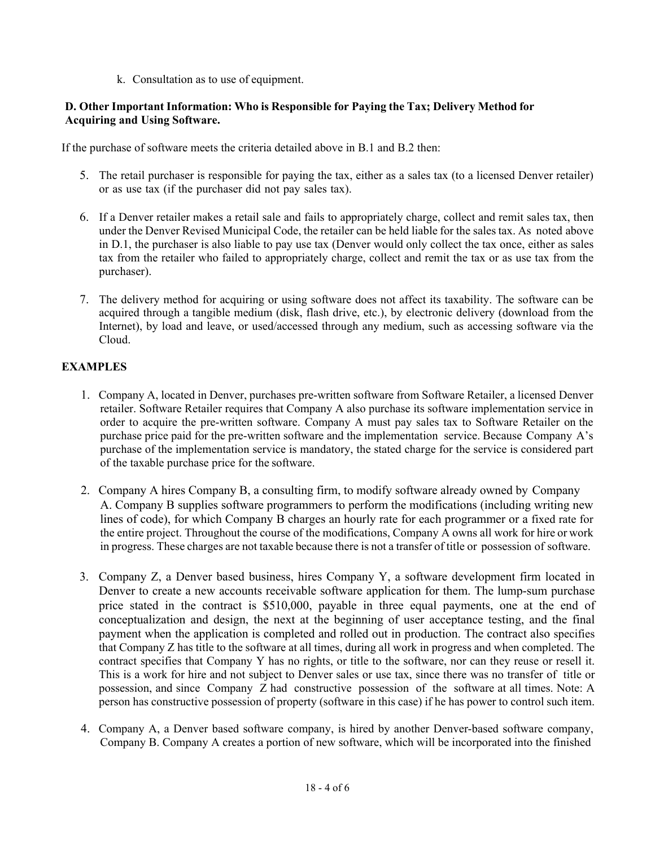k. Consultation as to use of equipment.

### **D. Other Important Information: Who is Responsible for Paying the Tax; Delivery Method for Acquiring and Using Software.**

If the purchase of software meets the criteria detailed above in B.1 and B.2 then:

- 5. The retail purchaser is responsible for paying the tax, either as a sales tax (to a licensed Denver retailer) or as use tax (if the purchaser did not pay sales tax).
- 6. If a Denver retailer makes a retail sale and fails to appropriately charge, collect and remit sales tax, then under the Denver Revised Municipal Code, the retailer can be held liable for the sales tax. As noted above in D.1, the purchaser is also liable to pay use tax (Denver would only collect the tax once, either as sales tax from the retailer who failed to appropriately charge, collect and remit the tax or as use tax from the purchaser).
- 7. The delivery method for acquiring or using software does not affect its taxability. The software can be acquired through a tangible medium (disk, flash drive, etc.), by electronic delivery (download from the Internet), by load and leave, or used/accessed through any medium, such as accessing software via the Cloud.

## **EXAMPLES**

- 1. Company A, located in Denver, purchases pre-written software from Software Retailer, a licensed Denver retailer. Software Retailer requires that Company A also purchase its software implementation service in order to acquire the pre-written software. Company A must pay sales tax to Software Retailer on the purchase price paid for the pre-written software and the implementation service. Because Company A's purchase of the implementation service is mandatory, the stated charge for the service is considered part of the taxable purchase price for the software.
- 2. Company A hires Company B, a consulting firm, to modify software already owned by Company A. Company B supplies software programmers to perform the modifications (including writing new lines of code), for which Company B charges an hourly rate for each programmer or a fixed rate for the entire project. Throughout the course of the modifications, Company A owns all work for hire or work in progress. These charges are not taxable because there is not a transfer of title or possession of software.
- 3. Company Z, a Denver based business, hires Company Y, a software development firm located in Denver to create a new accounts receivable software application for them. The lump-sum purchase price stated in the contract is \$510,000, payable in three equal payments, one at the end of conceptualization and design, the next at the beginning of user acceptance testing, and the final payment when the application is completed and rolled out in production. The contract also specifies that Company Z has title to the software at all times, during all work in progress and when completed. The contract specifies that Company Y has no rights, or title to the software, nor can they reuse or resell it. This is a work for hire and not subject to Denver sales or use tax, since there was no transfer of title or possession, and since Company Z had constructive possession of the software at all times. Note: A person has constructive possession of property (software in this case) if he has power to control such item.
- 4. Company A, a Denver based software company, is hired by another Denver-based software company, Company B. Company A creates a portion of new software, which will be incorporated into the finished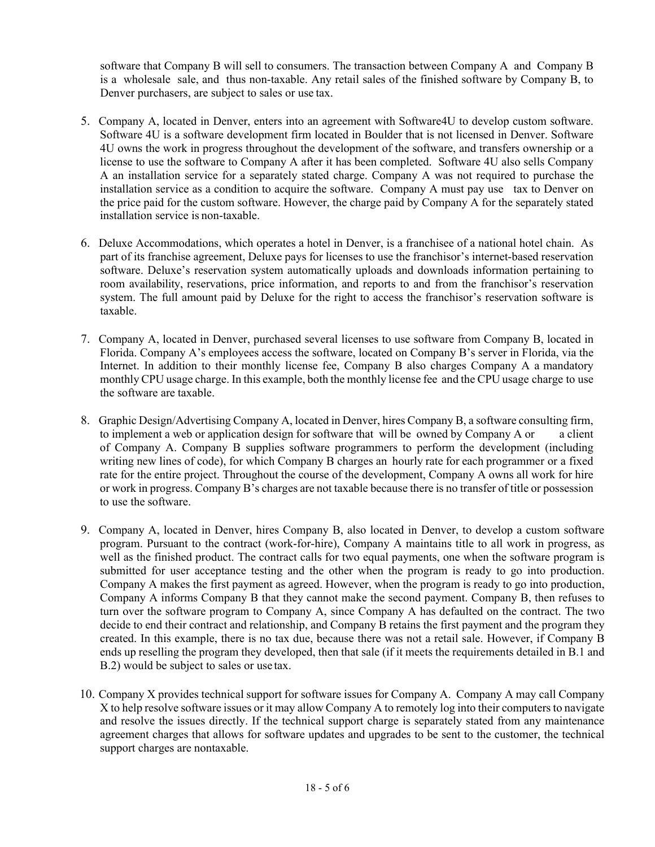software that Company B will sell to consumers. The transaction between Company A and Company B is a wholesale sale, and thus non-taxable. Any retail sales of the finished software by Company B, to Denver purchasers, are subject to sales or use tax.

- 5. Company A, located in Denver, enters into an agreement with Software4U to develop custom software. Software 4U is a software development firm located in Boulder that is not licensed in Denver. Software 4U owns the work in progress throughout the development of the software, and transfers ownership or a license to use the software to Company A after it has been completed. Software 4U also sells Company A an installation service for a separately stated charge. Company A was not required to purchase the installation service as a condition to acquire the software. Company A must pay use tax to Denver on the price paid for the custom software. However, the charge paid by Company A for the separately stated installation service is non-taxable.
- 6. Deluxe Accommodations, which operates a hotel in Denver, is a franchisee of a national hotel chain. As part of its franchise agreement, Deluxe pays for licenses to use the franchisor's internet-based reservation software. Deluxe's reservation system automatically uploads and downloads information pertaining to room availability, reservations, price information, and reports to and from the franchisor's reservation system. The full amount paid by Deluxe for the right to access the franchisor's reservation software is taxable.
- 7. Company A, located in Denver, purchased several licenses to use software from Company B, located in Florida. Company A's employees access the software, located on Company B's server in Florida, via the Internet. In addition to their monthly license fee, Company B also charges Company A a mandatory monthly CPU usage charge. In this example, both the monthly license fee and the CPU usage charge to use the software are taxable.
- 8. Graphic Design/Advertising Company A, located in Denver, hires Company B, a software consulting firm, to implement a web or application design for software that will be owned by Company A or a client of Company A. Company B supplies software programmers to perform the development (including writing new lines of code), for which Company B charges an hourly rate for each programmer or a fixed rate for the entire project. Throughout the course of the development, Company A owns all work for hire or work in progress. Company B's charges are not taxable because there is no transfer of title or possession to use the software.
- 9. Company A, located in Denver, hires Company B, also located in Denver, to develop a custom software program. Pursuant to the contract (work-for-hire), Company A maintains title to all work in progress, as well as the finished product. The contract calls for two equal payments, one when the software program is submitted for user acceptance testing and the other when the program is ready to go into production. Company A makes the first payment as agreed. However, when the program is ready to go into production, Company A informs Company B that they cannot make the second payment. Company B, then refuses to turn over the software program to Company A, since Company A has defaulted on the contract. The two decide to end their contract and relationship, and Company B retains the first payment and the program they created. In this example, there is no tax due, because there was not a retail sale. However, if Company B ends up reselling the program they developed, then that sale (if it meets the requirements detailed in B.1 and B.2) would be subject to sales or use tax.
- 10. Company X provides technical support for software issues for Company A. Company A may call Company X to help resolve software issues or it may allow Company A to remotely log into their computers to navigate and resolve the issues directly. If the technical support charge is separately stated from any maintenance agreement charges that allows for software updates and upgrades to be sent to the customer, the technical support charges are nontaxable.